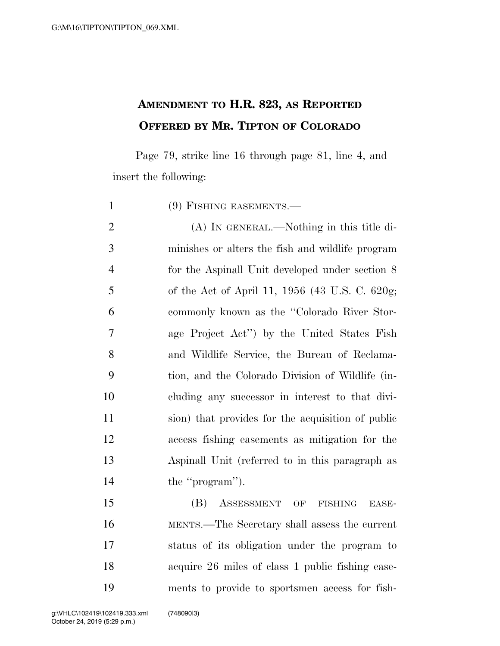## **AMENDMENT TO H.R. 823, AS REPORTED OFFERED BY MR. TIPTON OF COLORADO**

Page 79, strike line 16 through page 81, line 4, and insert the following:

| $\mathbf{1}$   | $(9)$ FISHING EASEMENTS.—                          |
|----------------|----------------------------------------------------|
| $\overline{2}$ | (A) IN GENERAL.—Nothing in this title di-          |
| 3              | minishes or alters the fish and wildlife program   |
| $\overline{4}$ | for the Aspinall Unit developed under section 8    |
| 5              | of the Act of April 11, 1956 (43 U.S. C. 620g;     |
| 6              | commonly known as the "Colorado River Stor-        |
| $\tau$         | age Project Act") by the United States Fish        |
| 8              | and Wildlife Service, the Bureau of Reclama-       |
| 9              | tion, and the Colorado Division of Wildlife (in-   |
| 10             | cluding any successor in interest to that divi-    |
| 11             | sion) that provides for the acquisition of public  |
| 12             | access fishing easements as mitigation for the     |
| 13             | Aspinall Unit (referred to in this paragraph as    |
| 14             | the "program").                                    |
| 15             | (B)<br>ASSESSMENT<br>OF<br><b>FISHING</b><br>EASE- |
| 16             | MENTS.—The Secretary shall assess the current      |

 status of its obligation under the program to acquire 26 miles of class 1 public fishing ease-ments to provide to sportsmen access for fish